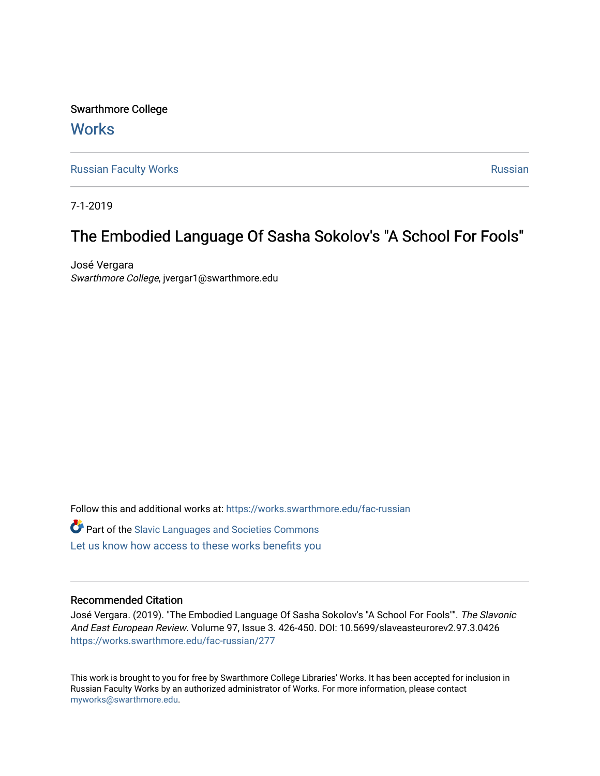Swarthmore College **Works** 

[Russian Faculty Works](https://works.swarthmore.edu/fac-russian) **Russian** [Russian](https://works.swarthmore.edu/russian) Russian Russian

7-1-2019

# The Embodied Language Of Sasha Sokolov's "A School For Fools"

José Vergara Swarthmore College, jvergar1@swarthmore.edu

Follow this and additional works at: [https://works.swarthmore.edu/fac-russian](https://works.swarthmore.edu/fac-russian?utm_source=works.swarthmore.edu%2Ffac-russian%2F277&utm_medium=PDF&utm_campaign=PDFCoverPages)  **C** Part of the Slavic Languages and Societies Commons [Let us know how access to these works benefits you](https://forms.gle/4MB8mE2GywC5965J8) 

# Recommended Citation

José Vergara. (2019). "The Embodied Language Of Sasha Sokolov's "A School For Fools"". The Slavonic And East European Review. Volume 97, Issue 3. 426-450. DOI: 10.5699/slaveasteurorev2.97.3.0426 <https://works.swarthmore.edu/fac-russian/277>

This work is brought to you for free by Swarthmore College Libraries' Works. It has been accepted for inclusion in Russian Faculty Works by an authorized administrator of Works. For more information, please contact [myworks@swarthmore.edu.](mailto:myworks@swarthmore.edu)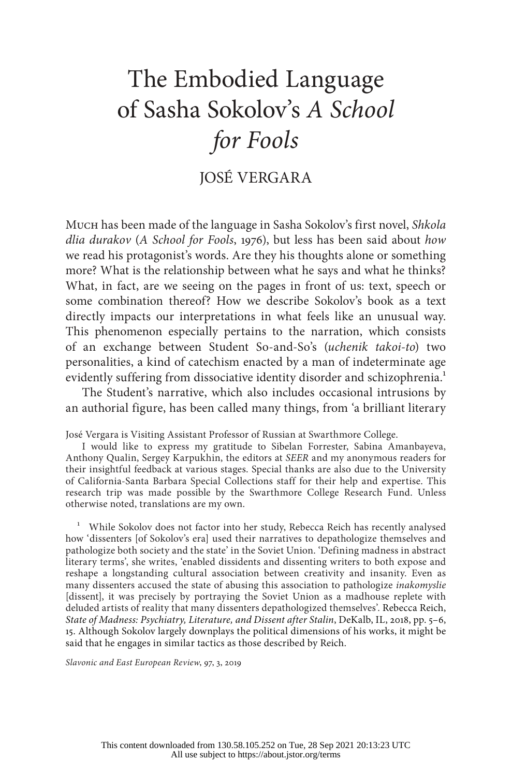# The Embodied Language of Sasha Sokolov's *A School for Fools*

# JOSÉ VERGARA

Much has been made of the language in Sasha Sokolov's first novel, *Shkola dlia durakov* (*A School for Fools*, 1976), but less has been said about *how* we read his protagonist's words. Are they his thoughts alone or something more? What is the relationship between what he says and what he thinks? What, in fact, are we seeing on the pages in front of us: text, speech or some combination thereof? How we describe Sokolov's book as a text directly impacts our interpretations in what feels like an unusual way. This phenomenon especially pertains to the narration, which consists of an exchange between Student So-and-So's (*uchenik takoi-to*) two personalities, a kind of catechism enacted by a man of indeterminate age evidently suffering from dissociative identity disorder and schizophrenia.<sup>1</sup>

The Student's narrative, which also includes occasional intrusions by an authorial figure, has been called many things, from 'a brilliant literary

José Vergara is Visiting Assistant Professor of Russian at Swarthmore College.

I would like to express my gratitude to Sibelan Forrester, Sabina Amanbayeva, Anthony Qualin, Sergey Karpukhin, the editors at *SEER* and my anonymous readers for their insightful feedback at various stages. Special thanks are also due to the University of California-Santa Barbara Special Collections staff for their help and expertise. This research trip was made possible by the Swarthmore College Research Fund. Unless otherwise noted, translations are my own.

<sup>1</sup> While Sokolov does not factor into her study, Rebecca Reich has recently analysed how 'dissenters [of Sokolov's era] used their narratives to depathologize themselves and pathologize both society and the state' in the Soviet Union. 'Defining madness in abstract literary terms', she writes, 'enabled dissidents and dissenting writers to both expose and reshape a longstanding cultural association between creativity and insanity. Even as many dissenters accused the state of abusing this association to pathologize *inakomyslie* [dissent], it was precisely by portraying the Soviet Union as a madhouse replete with deluded artists of reality that many dissenters depathologized themselves'. Rebecca Reich, *State of Madness: Psychiatry, Literature, and Dissent after Stalin*, DeKalb, IL, 2018, pp. 5–6, 15. Although Sokolov largely downplays the political dimensions of his works, it might be said that he engages in similar tactics as those described by Reich.

*Slavonic and East European Review*, 97, 3, 2019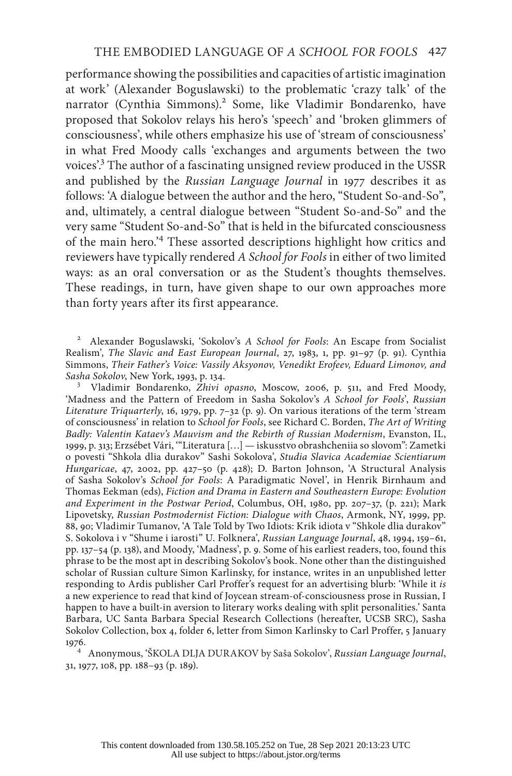performance showing the possibilities and capacities of artistic imagination at work' (Alexander Boguslawski) to the problematic 'crazy talk' of the narrator (Cynthia Simmons).<sup>2</sup> Some, like Vladimir Bondarenko, have proposed that Sokolov relays his hero's 'speech' and 'broken glimmers of consciousness', while others emphasize his use of 'stream of consciousness' in what Fred Moody calls 'exchanges and arguments between the two voices'.3 The author of a fascinating unsigned review produced in the USSR and published by the *Russian Language Journal* in 1977 describes it as follows: 'A dialogue between the author and the hero, "Student So-and-So", and, ultimately, a central dialogue between "Student So-and-So" and the very same "Student So-and-So" that is held in the bifurcated consciousness of the main hero.'4 These assorted descriptions highlight how critics and reviewers have typically rendered *A School for Fools* in either of two limited ways: as an oral conversation or as the Student's thoughts themselves. These readings, in turn, have given shape to our own approaches more than forty years after its first appearance.

<sup>2</sup> Alexander Boguslawski, 'Sokolov's *A School for Fools*: An Escape from Socialist Realism', *The Slavic and East European Journal*, 27, 1983, 1, pp. 91–97 (p. 91). Cynthia Simmons, *Their Father's Voice: Vassily Aksyonov, Venedikt Erofeev, Eduard Limonov, and* 

<sup>3</sup> Vladimir Bondarenko, *Zhivi opasno*, Moscow, 2006, p. 511, and Fred Moody, 'Madness and the Pattern of Freedom in Sasha Sokolov's *A School for Fools*', *Russian Literature Triquarterly*, 16, 1979, pp. 7–32 (p. 9). On various iterations of the term 'stream of consciousness' in relation to *School for Fools*, see Richard C. Borden, *The Art of Writing Badly: Valentin Kataev's Mauvism and the Rebirth of Russian Modernism*, Evanston, IL, 1999, p. 313; Erzsébet Vári, '"Literatura […] — iskusstvo obrashcheniia so slovom": Zametki o povesti "Shkola dlia durakov" Sashi Sokolova', *Studia Slavica Academiae Scientiarum Hungaricae*, 47, 2002, pp. 427–50 (p. 428); D. Barton Johnson, 'A Structural Analysis of Sasha Sokolov's *School for Fools*: A Paradigmatic Novel', in Henrik Birnhaum and Thomas Eekman (eds), *Fiction and Drama in Eastern and Southeastern Europe: Evolution and Experiment in the Postwar Period*, Columbus, OH, 1980, pp. 207–37, (p. 221); Mark Lipovetsky, *Russian Postmodernist Fiction: Dialogue with Chaos*, Armonk, NY, 1999, pp. 88, 90; Vladimir Tumanov, 'A Tale Told by Two Idiots: Krik idiota v "Shkole dlia durakov" S. Sokolova i v "Shume i iarosti" U. Folknera', *Russian Language Journal*, 48, 1994, 159–61, pp. 137–54 (p. 138), and Moody, 'Madness', p. 9. Some of his earliest readers, too, found this phrase to be the most apt in describing Sokolov's book. None other than the distinguished scholar of Russian culture Simon Karlinsky, for instance, writes in an unpublished letter responding to Ardis publisher Carl Proffer's request for an advertising blurb: 'While it *is* a new experience to read that kind of Joycean stream-of-consciousness prose in Russian, I happen to have a built-in aversion to literary works dealing with split personalities.' Santa Barbara, UC Santa Barbara Special Research Collections (hereafter, UCSB SRC), Sasha Sokolov Collection, box 4, folder 6, letter from Simon Karlinsky to Carl Proffer, 5 January 1976. 4 Anonymous, 'ŠKOLA DLJA DURAKOV by Saša Sokolov', *Russian Language Journal*,

31, 1977, 108, pp. 188–93 (p. 189).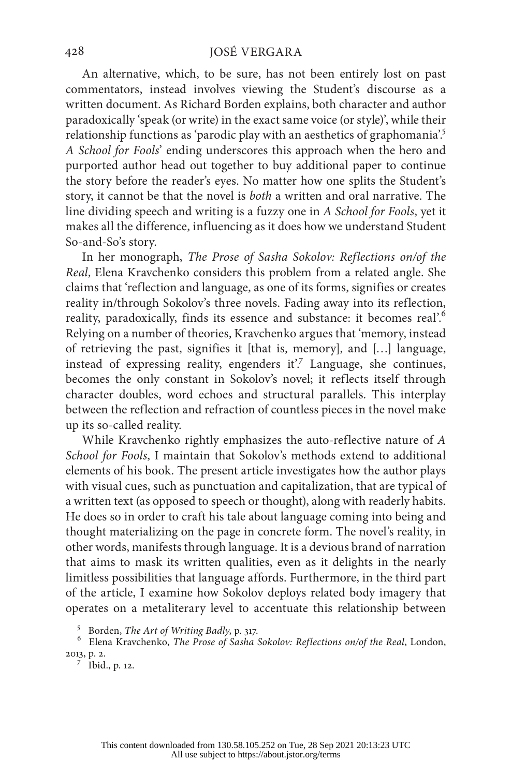An alternative, which, to be sure, has not been entirely lost on past commentators, instead involves viewing the Student's discourse as a written document. As Richard Borden explains, both character and author paradoxically 'speak (or write) in the exact same voice (or style)', while their relationship functions as 'parodic play with an aesthetics of graphomania'.<sup>5</sup> *A School for Fools*' ending underscores this approach when the hero and purported author head out together to buy additional paper to continue the story before the reader's eyes. No matter how one splits the Student's story, it cannot be that the novel is *both* a written and oral narrative. The line dividing speech and writing is a fuzzy one in *A School for Fools*, yet it makes all the difference, influencing as it does how we understand Student So-and-So's story.

In her monograph, *The Prose of Sasha Sokolov: Reflections on/of the Real*, Elena Kravchenko considers this problem from a related angle. She claims that 'reflection and language, as one of its forms, signifies or creates reality in/through Sokolov's three novels. Fading away into its reflection, reality, paradoxically, finds its essence and substance: it becomes real'.<sup>6</sup> Relying on a number of theories, Kravchenko argues that 'memory, instead of retrieving the past, signifies it [that is, memory], and […] language, instead of expressing reality, engenders it'.7 Language, she continues, becomes the only constant in Sokolov's novel; it reflects itself through character doubles, word echoes and structural parallels. This interplay between the reflection and refraction of countless pieces in the novel make up its so-called reality.

While Kravchenko rightly emphasizes the auto-reflective nature of *A School for Fools*, I maintain that Sokolov's methods extend to additional elements of his book. The present article investigates how the author plays with visual cues, such as punctuation and capitalization, that are typical of a written text (as opposed to speech or thought), along with readerly habits. He does so in order to craft his tale about language coming into being and thought materializing on the page in concrete form. The novel's reality, in other words, manifests through language. It is a devious brand of narration that aims to mask its written qualities, even as it delights in the nearly limitless possibilities that language affords. Furthermore, in the third part of the article, I examine how Sokolov deploys related body imagery that operates on a metaliterary level to accentuate this relationship between

<sup>5</sup> Borden, *The Art of Writing Badly*, p. 317.<br><sup>6</sup> Elena Kravchenko, *The Prose of Sasha Sokolov: Reflections on/of the Real*, London, 2013, p. 2. <sup>7</sup> Ibid., p. 12.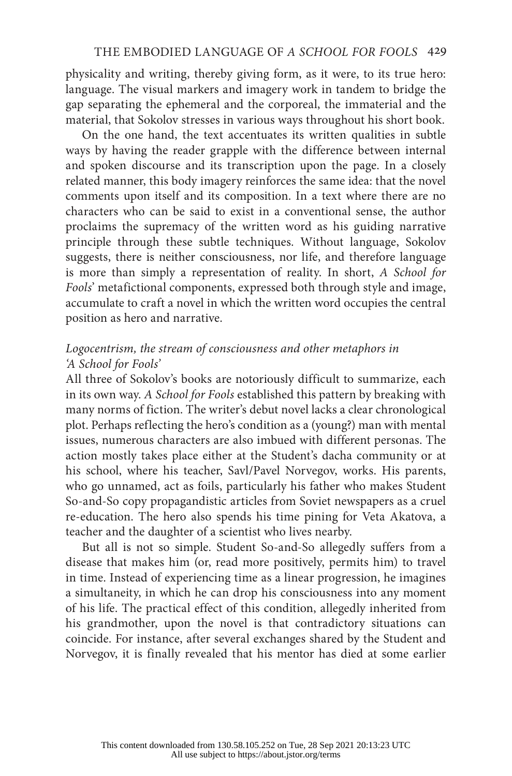physicality and writing, thereby giving form, as it were, to its true hero: language. The visual markers and imagery work in tandem to bridge the gap separating the ephemeral and the corporeal, the immaterial and the material, that Sokolov stresses in various ways throughout his short book.

On the one hand, the text accentuates its written qualities in subtle ways by having the reader grapple with the difference between internal and spoken discourse and its transcription upon the page. In a closely related manner, this body imagery reinforces the same idea: that the novel comments upon itself and its composition. In a text where there are no characters who can be said to exist in a conventional sense, the author proclaims the supremacy of the written word as his guiding narrative principle through these subtle techniques. Without language, Sokolov suggests, there is neither consciousness, nor life, and therefore language is more than simply a representation of reality. In short, *A School for Fools*' metafictional components, expressed both through style and image, accumulate to craft a novel in which the written word occupies the central position as hero and narrative.

# *Logocentrism, the stream of consciousness and other metaphors in 'A School for Fools'*

All three of Sokolov's books are notoriously difficult to summarize, each in its own way. *A School for Fools* established this pattern by breaking with many norms of fiction. The writer's debut novel lacks a clear chronological plot. Perhaps reflecting the hero's condition as a (young?) man with mental issues, numerous characters are also imbued with different personas. The action mostly takes place either at the Student's dacha community or at his school, where his teacher, Savl/Pavel Norvegov, works. His parents, who go unnamed, act as foils, particularly his father who makes Student So-and-So copy propagandistic articles from Soviet newspapers as a cruel re-education. The hero also spends his time pining for Veta Akatova, a teacher and the daughter of a scientist who lives nearby.

But all is not so simple. Student So-and-So allegedly suffers from a disease that makes him (or, read more positively, permits him) to travel in time. Instead of experiencing time as a linear progression, he imagines a simultaneity, in which he can drop his consciousness into any moment of his life. The practical effect of this condition, allegedly inherited from his grandmother, upon the novel is that contradictory situations can coincide. For instance, after several exchanges shared by the Student and Norvegov, it is finally revealed that his mentor has died at some earlier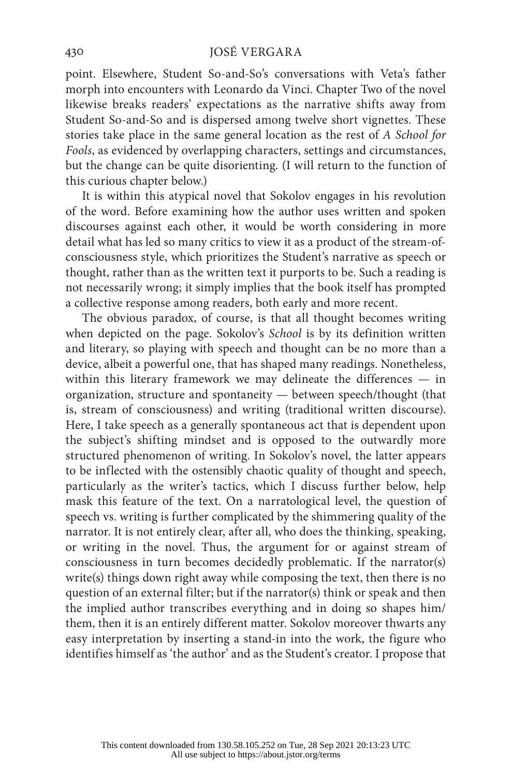point. Elsewhere, Student So-and-So's conversations with Veta's father morph into encounters with Leonardo da Vinci. Chapter Two of the novel likewise breaks readers' expectations as the narrative shifts away from Student So-and-So and is dispersed among twelve short vignettes. These stories take place in the same general location as the rest of *A School for Fools*, as evidenced by overlapping characters, settings and circumstances, but the change can be quite disorienting. (I will return to the function of this curious chapter below.)

It is within this atypical novel that Sokolov engages in his revolution of the word. Before examining how the author uses written and spoken discourses against each other, it would be worth considering in more detail what has led so many critics to view it as a product of the stream-ofconsciousness style, which prioritizes the Student's narrative as speech or thought, rather than as the written text it purports to be. Such a reading is not necessarily wrong; it simply implies that the book itself has prompted a collective response among readers, both early and more recent.

The obvious paradox, of course, is that all thought becomes writing when depicted on the page. Sokolov's *School* is by its definition written and literary, so playing with speech and thought can be no more than a device, albeit a powerful one, that has shaped many readings. Nonetheless, within this literary framework we may delineate the differences — in organization, structure and spontaneity — between speech/thought (that is, stream of consciousness) and writing (traditional written discourse). Here, I take speech as a generally spontaneous act that is dependent upon the subject's shifting mindset and is opposed to the outwardly more structured phenomenon of writing. In Sokolov's novel, the latter appears to be inflected with the ostensibly chaotic quality of thought and speech, particularly as the writer's tactics, which I discuss further below, help mask this feature of the text. On a narratological level, the question of speech vs. writing is further complicated by the shimmering quality of the narrator. It is not entirely clear, after all, who does the thinking, speaking, or writing in the novel. Thus, the argument for or against stream of consciousness in turn becomes decidedly problematic. If the narrator(s) write(s) things down right away while composing the text, then there is no question of an external filter; but if the narrator(s) think or speak and then the implied author transcribes everything and in doing so shapes him/ them, then it is an entirely different matter. Sokolov moreover thwarts any easy interpretation by inserting a stand-in into the work, the figure who identifies himself as 'the author' and as the Student's creator. I propose that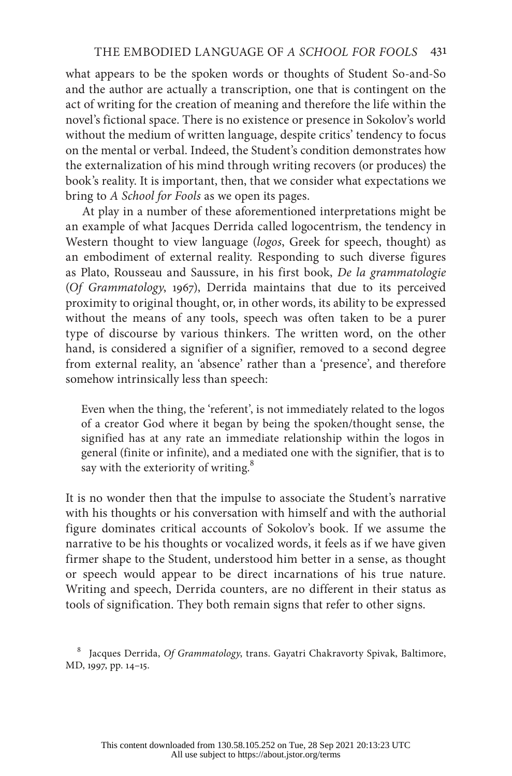what appears to be the spoken words or thoughts of Student So-and-So and the author are actually a transcription, one that is contingent on the act of writing for the creation of meaning and therefore the life within the novel's fictional space. There is no existence or presence in Sokolov's world without the medium of written language, despite critics' tendency to focus on the mental or verbal. Indeed, the Student's condition demonstrates how the externalization of his mind through writing recovers (or produces) the book's reality. It is important, then, that we consider what expectations we bring to *A School for Fools* as we open its pages.

At play in a number of these aforementioned interpretations might be an example of what Jacques Derrida called logocentrism, the tendency in Western thought to view language (*logos*, Greek for speech, thought) as an embodiment of external reality. Responding to such diverse figures as Plato, Rousseau and Saussure, in his first book, *De la grammatologie* (*Of Grammatology*, 1967), Derrida maintains that due to its perceived proximity to original thought, or, in other words, its ability to be expressed without the means of any tools, speech was often taken to be a purer type of discourse by various thinkers. The written word, on the other hand, is considered a signifier of a signifier, removed to a second degree from external reality, an 'absence' rather than a 'presence', and therefore somehow intrinsically less than speech:

Even when the thing, the 'referent', is not immediately related to the logos of a creator God where it began by being the spoken/thought sense, the signified has at any rate an immediate relationship within the logos in general (finite or infinite), and a mediated one with the signifier, that is to say with the exteriority of writing.<sup>8</sup>

It is no wonder then that the impulse to associate the Student's narrative with his thoughts or his conversation with himself and with the authorial figure dominates critical accounts of Sokolov's book. If we assume the narrative to be his thoughts or vocalized words, it feels as if we have given firmer shape to the Student, understood him better in a sense, as thought or speech would appear to be direct incarnations of his true nature. Writing and speech, Derrida counters, are no different in their status as tools of signification. They both remain signs that refer to other signs.

<sup>8</sup> Jacques Derrida, *Of Grammatology*, trans. Gayatri Chakravorty Spivak, Baltimore, MD, 1997, pp. 14–15.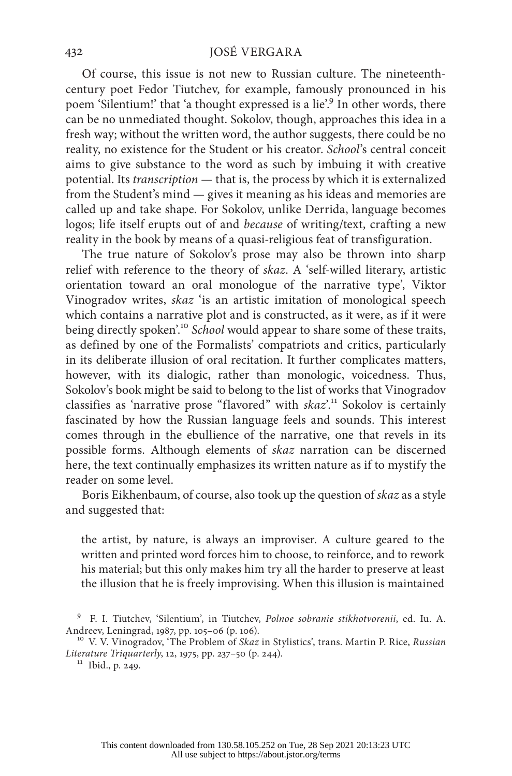Of course, this issue is not new to Russian culture. The nineteenthcentury poet Fedor Tiutchev, for example, famously pronounced in his poem 'Silentium!' that 'a thought expressed is a lie'.<sup>9</sup> In other words, there can be no unmediated thought. Sokolov, though, approaches this idea in a fresh way; without the written word, the author suggests, there could be no reality, no existence for the Student or his creator. *School*'s central conceit aims to give substance to the word as such by imbuing it with creative potential. Its *transcription* — that is, the process by which it is externalized from the Student's mind — gives it meaning as his ideas and memories are called up and take shape. For Sokolov, unlike Derrida, language becomes logos; life itself erupts out of and *because* of writing/text, crafting a new reality in the book by means of a quasi-religious feat of transfiguration.

The true nature of Sokolov's prose may also be thrown into sharp relief with reference to the theory of *skaz*. A 'self-willed literary, artistic orientation toward an oral monologue of the narrative type', Viktor Vinogradov writes, *skaz* 'is an artistic imitation of monological speech which contains a narrative plot and is constructed, as it were, as if it were being directly spoken'.<sup>10</sup> *School* would appear to share some of these traits, as defined by one of the Formalists' compatriots and critics, particularly in its deliberate illusion of oral recitation. It further complicates matters, however, with its dialogic, rather than monologic, voicedness. Thus, Sokolov's book might be said to belong to the list of works that Vinogradov classifies as 'narrative prose "flavored" with *skaz*'.<sup>11</sup> Sokolov is certainly fascinated by how the Russian language feels and sounds. This interest comes through in the ebullience of the narrative, one that revels in its possible forms. Although elements of *skaz* narration can be discerned here, the text continually emphasizes its written nature as if to mystify the reader on some level.

Boris Eikhenbaum, of course, also took up the question of *skaz* as a style and suggested that:

the artist, by nature, is always an improviser. A culture geared to the written and printed word forces him to choose, to reinforce, and to rework his material; but this only makes him try all the harder to preserve at least the illusion that he is freely improvising. When this illusion is maintained

<sup>9</sup> F. I. Tiutchev, 'Silentium', in Tiutchev, *Polnoe sobranie stikhotvorenii*, ed. Iu. A. Andreev, Leningrad, 1987, pp. 105–06 (p. 106). 10 V. V. Vinogradov, 'The Problem of *Skaz* in Stylistics', trans. Martin P. Rice, *Russian* 

*Literature Triquarterly*, 12, 1975, pp. 237–50 (p. 244).<br><sup>11</sup> Ibid., p. 249.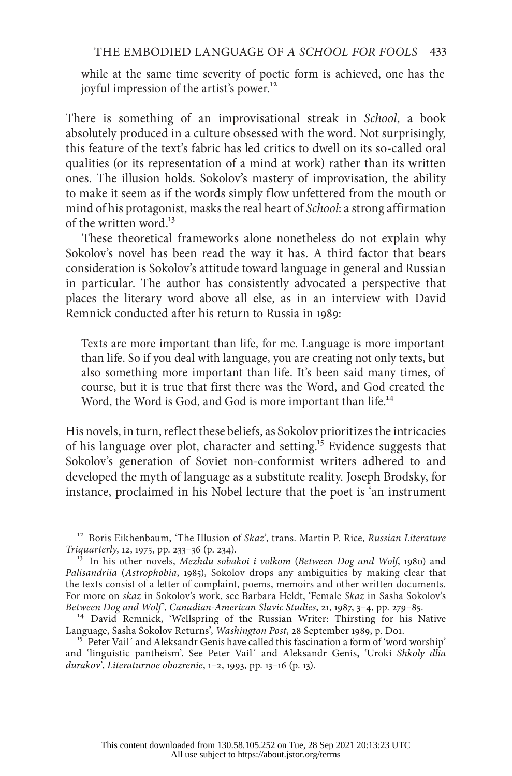while at the same time severity of poetic form is achieved, one has the joyful impression of the artist's power.<sup>12</sup>

There is something of an improvisational streak in *School*, a book absolutely produced in a culture obsessed with the word. Not surprisingly, this feature of the text's fabric has led critics to dwell on its so-called oral qualities (or its representation of a mind at work) rather than its written ones. The illusion holds. Sokolov's mastery of improvisation, the ability to make it seem as if the words simply flow unfettered from the mouth or mind of his protagonist, masks the real heart of *School*: a strong affirmation of the written word. $^{13}$ 

These theoretical frameworks alone nonetheless do not explain why Sokolov's novel has been read the way it has. A third factor that bears consideration is Sokolov's attitude toward language in general and Russian in particular. The author has consistently advocated a perspective that places the literary word above all else, as in an interview with David Remnick conducted after his return to Russia in 1989:

Texts are more important than life, for me. Language is more important than life. So if you deal with language, you are creating not only texts, but also something more important than life. It's been said many times, of course, but it is true that first there was the Word, and God created the Word, the Word is God, and God is more important than life.<sup>14</sup>

His novels, in turn, reflect these beliefs, as Sokolov prioritizes the intricacies of his language over plot, character and setting.<sup>15</sup> Evidence suggests that Sokolov's generation of Soviet non-conformist writers adhered to and developed the myth of language as a substitute reality. Joseph Brodsky, for instance, proclaimed in his Nobel lecture that the poet is 'an instrument

<sup>12</sup> Boris Eikhenbaum, 'The Illusion of *Skaz*', trans. Martin P. Rice, *Russian Literature Triquarterly*, 12, 1975, pp. 233–36 (p. 234).

<sup>14</sup> David Remnick, 'Wellspring of the Russian Writer: Thirsting for his Native Language, Sasha Sokolov Returns', *Washington Post*, 28 September 1989, p. Do1.

<sup>15</sup> Peter Vail´ and Aleksandr Genis have called this fascination a form of 'word worship' and 'linguistic pantheism'. See Peter Vail´ and Aleksandr Genis, 'Uroki *Shkoly dlia durakov*', *Literaturnoe obozrenie*, 1–2, 1993, pp. 13–16 (p. 13).

<sup>&</sup>lt;sup>13</sup> In his other novels, *Mezhdu sobakoi i volkom (Between Dog and Wolf*, 1980) and *Palisandriia* (*Astrophobia*, 1985), Sokolov drops any ambiguities by making clear that the texts consist of a letter of complaint, poems, memoirs and other written documents. For more on *skaz* in Sokolov's work, see Barbara Heldt, 'Female *Skaz* in Sasha Sokolov's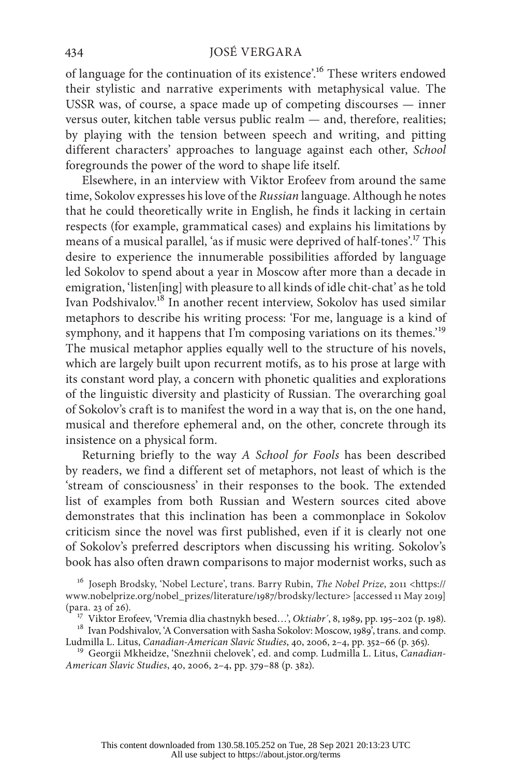of language for the continuation of its existence'.16 These writers endowed their stylistic and narrative experiments with metaphysical value. The USSR was, of course, a space made up of competing discourses — inner versus outer, kitchen table versus public realm — and, therefore, realities; by playing with the tension between speech and writing, and pitting different characters' approaches to language against each other, *School* foregrounds the power of the word to shape life itself.

Elsewhere, in an interview with Viktor Erofeev from around the same time, Sokolov expresses his love of the *Russian* language. Although he notes that he could theoretically write in English, he finds it lacking in certain respects (for example, grammatical cases) and explains his limitations by means of a musical parallel, 'as if music were deprived of half-tones'.17 This desire to experience the innumerable possibilities afforded by language led Sokolov to spend about a year in Moscow after more than a decade in emigration, 'listen[ing] with pleasure to all kinds of idle chit-chat' as he told Ivan Podshivalov.18 In another recent interview, Sokolov has used similar metaphors to describe his writing process: 'For me, language is a kind of symphony, and it happens that I'm composing variations on its themes.<sup>'19</sup> The musical metaphor applies equally well to the structure of his novels, which are largely built upon recurrent motifs, as to his prose at large with its constant word play, a concern with phonetic qualities and explorations of the linguistic diversity and plasticity of Russian. The overarching goal of Sokolov's craft is to manifest the word in a way that is, on the one hand, musical and therefore ephemeral and, on the other, concrete through its insistence on a physical form.

Returning briefly to the way *A School for Fools* has been described by readers, we find a different set of metaphors, not least of which is the 'stream of consciousness' in their responses to the book. The extended list of examples from both Russian and Western sources cited above demonstrates that this inclination has been a commonplace in Sokolov criticism since the novel was first published, even if it is clearly not one of Sokolov's preferred descriptors when discussing his writing. Sokolov's book has also often drawn comparisons to major modernist works, such as

<sup>16</sup> Joseph Brodsky, 'Nobel Lecture', trans. Barry Rubin, *The Nobel Prize*, 2011 <https:// www.nobelprize.org/nobel\_prizes/literature/1987/brodsky/lecture> [accessed 11 May 2019]

<sup>(</sup>para. 23 of 26). <sup>17</sup> Viktor Erofeev, 'Vremia dlia chastnykh besed...', *Oktiabr'*, 8, 1989, pp. 195–202 (p. 198).<br><sup>18</sup> Ivan Podshivalov, 'A Conversation with Sasha Sokolov: Moscow, 1989', trans. and comp.<br>Ludmilla L. Lit

<sup>&</sup>lt;sup>19</sup> Georgii Mkheidze, 'Snezhnii chelovek', ed. and comp. Ludmilla L. Litus, *Canadian-American Slavic Studies*, 40, 2006, 2–4, pp. 379–88 (p. 382).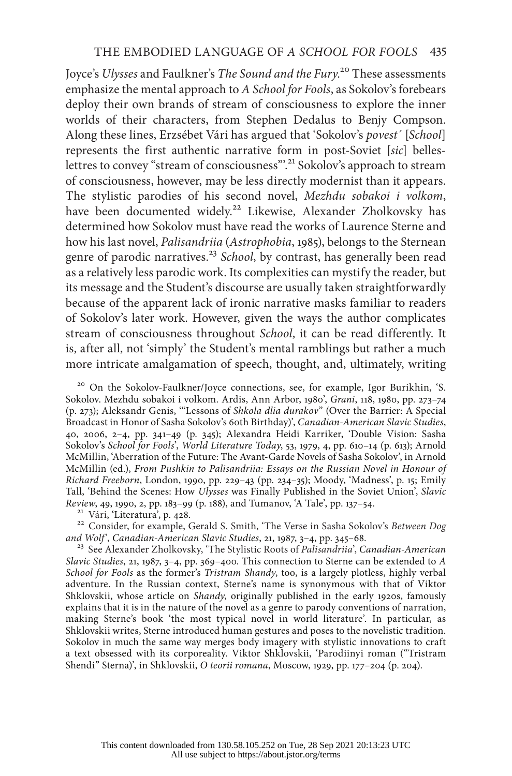Joyce's *Ulysses* and Faulkner's *The Sound and the Fury*. 20 These assessments emphasize the mental approach to *A School for Fools*, as Sokolov's forebears deploy their own brands of stream of consciousness to explore the inner worlds of their characters, from Stephen Dedalus to Benjy Compson. Along these lines, Erzsébet Vári has argued that 'Sokolov's *povest´* [*School*] represents the first authentic narrative form in post-Soviet [*sic*] belleslettres to convey "stream of consciousness".<sup>21</sup> Sokolov's approach to stream of consciousness, however, may be less directly modernist than it appears. The stylistic parodies of his second novel, *Mezhdu sobakoi i volkom*, have been documented widely.<sup>22</sup> Likewise, Alexander Zholkovsky has determined how Sokolov must have read the works of Laurence Sterne and how his last novel, *Palisandriia* (*Astrophobia*, 1985), belongs to the Sternean genre of parodic narratives.<sup>23</sup> *School*, by contrast, has generally been read as a relatively less parodic work. Its complexities can mystify the reader, but its message and the Student's discourse are usually taken straightforwardly because of the apparent lack of ironic narrative masks familiar to readers of Sokolov's later work. However, given the ways the author complicates stream of consciousness throughout *School*, it can be read differently. It is, after all, not 'simply' the Student's mental ramblings but rather a much more intricate amalgamation of speech, thought, and, ultimately, writing

<sup>20</sup> On the Sokolov-Faulkner/Joyce connections, see, for example, Igor Burikhin, 'S. Sokolov. Mezhdu sobakoi i volkom. Ardis, Ann Arbor, 1980', *Grani*, 118, 1980, pp. 273–74 (p. 273); Aleksandr Genis, '"Lessons of *Shkola dlia durakov*" (Over the Barrier: A Special Broadcast in Honor of Sasha Sokolov's 60th Birthday)', *Canadian-American Slavic Studies*, 40, 2006, 2–4, pp. 341–49 (p. 345); Alexandra Heidi Karriker, 'Double Vision: Sasha Sokolov's *School for Fools*', *World Literature Today*, 53, 1979, 4, pp. 610–14 (p. 613); Arnold McMillin, 'Aberration of the Future: The Avant-Garde Novels of Sasha Sokolov', in Arnold McMillin (ed.), *From Pushkin to Palisandriia: Essays on the Russian Novel in Honour of Richard Freeborn*, London, 1990, pp. 229–43 (pp. 234–35); Moody, 'Madness', p. 15; Emily Tall, 'Behind the Scenes: How *Ulysses* was Finally Published in the Soviet Union', *Slavic* 

<sup>21</sup> Vári, 'Literatura', p. 428.<br><sup>22</sup> Consider, for example, Gerald S. Smith, 'The Verse in Sasha Sokolov's *Between Dog and Wolf'*, *Canadian-American Slavic Studies*, 21, 1987, 3-4, pp. 345-68.

<sup>23</sup> See Alexander Zholkovsky, 'The Stylistic Roots of *Palisandriia*', *Canadian-American Slavic Studies*, 21, 1987, 3–4, pp. 369–400. This connection to Sterne can be extended to *A School for Fools* as the former's *Tristram Shandy*, too, is a largely plotless, highly verbal adventure. In the Russian context, Sterne's name is synonymous with that of Viktor Shklovskii, whose article on *Shandy*, originally published in the early 1920s, famously explains that it is in the nature of the novel as a genre to parody conventions of narration, making Sterne's book 'the most typical novel in world literature'. In particular, as Shklovskii writes, Sterne introduced human gestures and poses to the novelistic tradition. Sokolov in much the same way merges body imagery with stylistic innovations to craft a text obsessed with its corporeality. Viktor Shklovskii, 'Parodiinyi roman ("Tristram Shendi" Sterna)', in Shklovskii, *O teorii romana*, Moscow, 1929, pp. 177–204 (p. 204).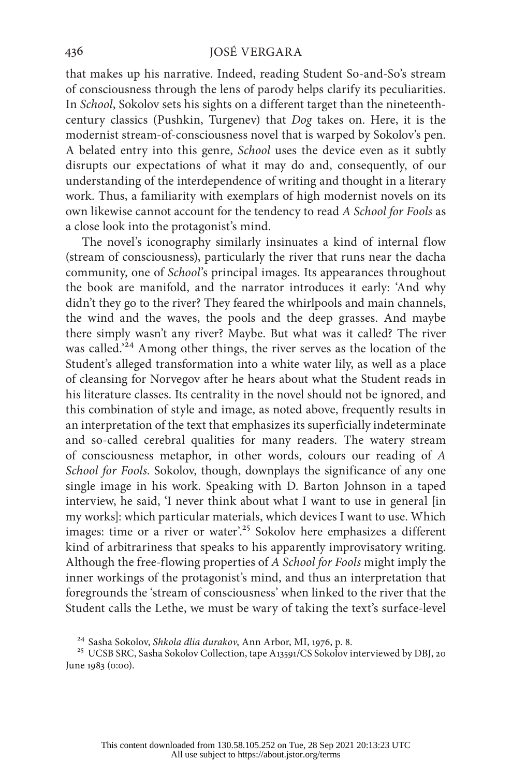that makes up his narrative. Indeed, reading Student So-and-So's stream of consciousness through the lens of parody helps clarify its peculiarities. In *School*, Sokolov sets his sights on a different target than the nineteenthcentury classics (Pushkin, Turgenev) that *Dog* takes on. Here, it is the modernist stream-of-consciousness novel that is warped by Sokolov's pen. A belated entry into this genre, *School* uses the device even as it subtly disrupts our expectations of what it may do and, consequently, of our understanding of the interdependence of writing and thought in a literary work. Thus, a familiarity with exemplars of high modernist novels on its own likewise cannot account for the tendency to read *A School for Fools* as a close look into the protagonist's mind.

The novel's iconography similarly insinuates a kind of internal flow (stream of consciousness), particularly the river that runs near the dacha community, one of *School*'s principal images. Its appearances throughout the book are manifold, and the narrator introduces it early: 'And why didn't they go to the river? They feared the whirlpools and main channels, the wind and the waves, the pools and the deep grasses. And maybe there simply wasn't any river? Maybe. But what was it called? The river was called.'24 Among other things, the river serves as the location of the Student's alleged transformation into a white water lily, as well as a place of cleansing for Norvegov after he hears about what the Student reads in his literature classes. Its centrality in the novel should not be ignored, and this combination of style and image, as noted above, frequently results in an interpretation of the text that emphasizes its superficially indeterminate and so-called cerebral qualities for many readers. The watery stream of consciousness metaphor, in other words, colours our reading of *A School for Fools*. Sokolov, though, downplays the significance of any one single image in his work. Speaking with D. Barton Johnson in a taped interview, he said, 'I never think about what I want to use in general [in my works]: which particular materials, which devices I want to use. Which images: time or a river or water'.<sup>25</sup> Sokolov here emphasizes a different kind of arbitrariness that speaks to his apparently improvisatory writing. Although the free-flowing properties of *A School for Fools* might imply the inner workings of the protagonist's mind, and thus an interpretation that foregrounds the 'stream of consciousness' when linked to the river that the Student calls the Lethe, we must be wary of taking the text's surface-level

<sup>&</sup>lt;sup>24</sup> Sasha Sokolov, *Shkola dlia durakov, Ann Arbor, MI, 1976, p. 8.*<br><sup>25</sup> UCSB SRC, Sasha Sokolov Collection, tape A13591/CS Sokolov interviewed by DBJ, 20 June 1983 (0:00).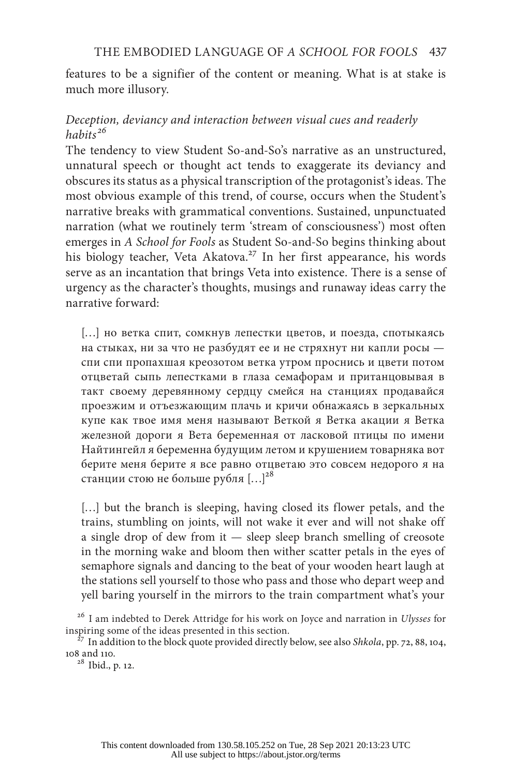features to be a signifier of the content or meaning. What is at stake is much more illusory.

# *Deception, deviancy and interaction between visual cues and readerly habits <sup>26</sup>*

The tendency to view Student So-and-So's narrative as an unstructured, unnatural speech or thought act tends to exaggerate its deviancy and obscures its status as a physical transcription of the protagonist's ideas. The most obvious example of this trend, of course, occurs when the Student's narrative breaks with grammatical conventions. Sustained, unpunctuated narration (what we routinely term 'stream of consciousness') most often emerges in *A School for Fools* as Student So-and-So begins thinking about his biology teacher, Veta Akatova.<sup>27</sup> In her first appearance, his words serve as an incantation that brings Veta into existence. There is a sense of urgency as the character's thoughts, musings and runaway ideas carry the narrative forward:

[…] но ветка спит, сомкнув лепестки цветов, и поезда, спотыкаясь на стыках, ни за что не разбудят ее и не стряхнут ни капли росы спи спи пропахшая креозотом ветка утром проснись и цвети потом отцветай сыпь лепестками в глаза семафорам и пританцовывая в такт своему деревянному сердцу смейся на станциях продавайся проезжим и отъезжающим плачь и кричи обнажаясь в зеркальных купе как твое имя меня называют Веткой я Ветка акации я Ветка железной дороги я Вета беременная от ласковой птицы по имени Найтингейл я беременна будущим летом и крушением товарняка вот берите меня берите я все равно отцветаю это совсем недорого я на станции стою не больше рубля […]28

[...] but the branch is sleeping, having closed its flower petals, and the trains, stumbling on joints, will not wake it ever and will not shake off a single drop of dew from it — sleep sleep branch smelling of creosote in the morning wake and bloom then wither scatter petals in the eyes of semaphore signals and dancing to the beat of your wooden heart laugh at the stations sell yourself to those who pass and those who depart weep and yell baring yourself in the mirrors to the train compartment what's your

<sup>26</sup> I am indebted to Derek Attridge for his work on Joyce and narration in *Ulysses* for

inspiring some of the ideas presented in this section.<br><sup>27</sup> In addition to the block quote provided directly below, see also *Shkola*, pp. 72, 88, 104, 108 and 110.

<sup>28</sup> Ibid., p. 12.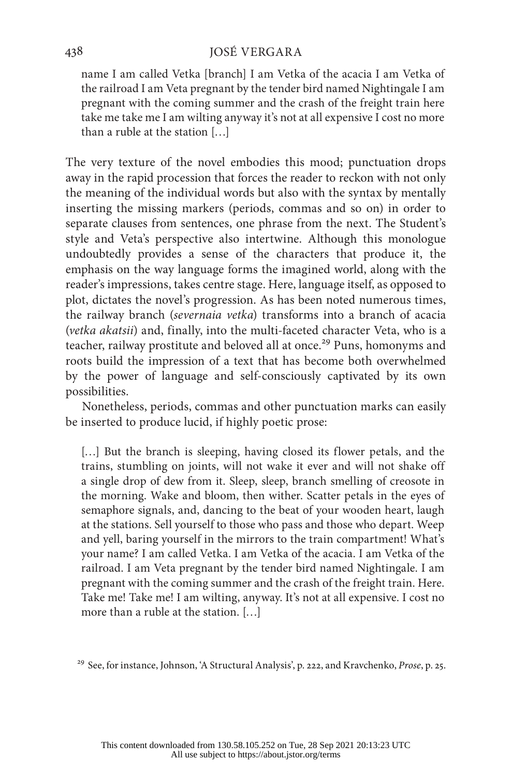name I am called Vetka [branch] I am Vetka of the acacia I am Vetka of the railroad I am Veta pregnant by the tender bird named Nightingale I am pregnant with the coming summer and the crash of the freight train here take me take me I am wilting anyway it's not at all expensive I cost no more than a ruble at the station […]

The very texture of the novel embodies this mood; punctuation drops away in the rapid procession that forces the reader to reckon with not only the meaning of the individual words but also with the syntax by mentally inserting the missing markers (periods, commas and so on) in order to separate clauses from sentences, one phrase from the next. The Student's style and Veta's perspective also intertwine. Although this monologue undoubtedly provides a sense of the characters that produce it, the emphasis on the way language forms the imagined world, along with the reader's impressions, takes centre stage. Here, language itself, as opposed to plot, dictates the novel's progression. As has been noted numerous times, the railway branch (*severnaia vetka*) transforms into a branch of acacia (*vetka akatsii*) and, finally, into the multi-faceted character Veta, who is a teacher, railway prostitute and beloved all at once.<sup>29</sup> Puns, homonyms and roots build the impression of a text that has become both overwhelmed by the power of language and self-consciously captivated by its own possibilities.

Nonetheless, periods, commas and other punctuation marks can easily be inserted to produce lucid, if highly poetic prose:

[...] But the branch is sleeping, having closed its flower petals, and the trains, stumbling on joints, will not wake it ever and will not shake off a single drop of dew from it. Sleep, sleep, branch smelling of creosote in the morning. Wake and bloom, then wither. Scatter petals in the eyes of semaphore signals, and, dancing to the beat of your wooden heart, laugh at the stations. Sell yourself to those who pass and those who depart. Weep and yell, baring yourself in the mirrors to the train compartment! What's your name? I am called Vetka. I am Vetka of the acacia. I am Vetka of the railroad. I am Veta pregnant by the tender bird named Nightingale. I am pregnant with the coming summer and the crash of the freight train. Here. Take me! Take me! I am wilting, anyway. It's not at all expensive. I cost no more than a ruble at the station. […]

<sup>29</sup> See, for instance, Johnson, 'A Structural Analysis', p. 222, and Kravchenko, *Prose*, p. 25.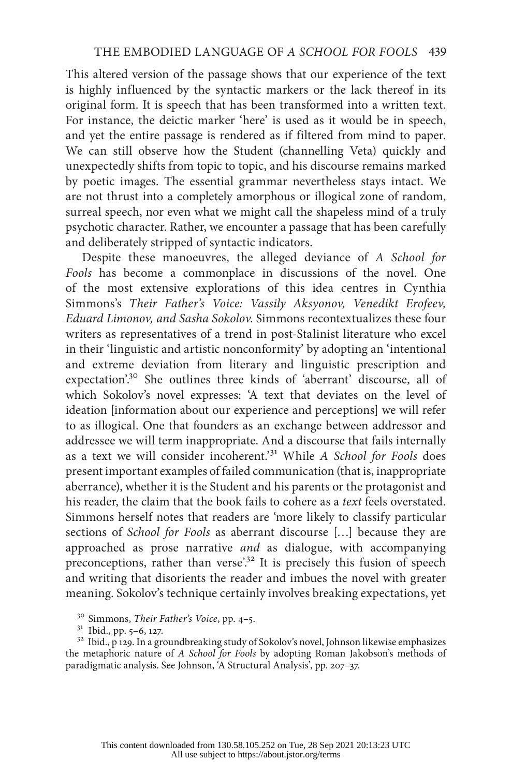This altered version of the passage shows that our experience of the text is highly influenced by the syntactic markers or the lack thereof in its original form. It is speech that has been transformed into a written text. For instance, the deictic marker 'here' is used as it would be in speech, and yet the entire passage is rendered as if filtered from mind to paper. We can still observe how the Student (channelling Veta) quickly and unexpectedly shifts from topic to topic, and his discourse remains marked by poetic images. The essential grammar nevertheless stays intact. We are not thrust into a completely amorphous or illogical zone of random, surreal speech, nor even what we might call the shapeless mind of a truly psychotic character. Rather, we encounter a passage that has been carefully and deliberately stripped of syntactic indicators.

Despite these manoeuvres, the alleged deviance of *A School for Fools* has become a commonplace in discussions of the novel. One of the most extensive explorations of this idea centres in Cynthia Simmons's *Their Father's Voice: Vassily Aksyonov, Venedikt Erofeev, Eduard Limonov, and Sasha Sokolov*. Simmons recontextualizes these four writers as representatives of a trend in post-Stalinist literature who excel in their 'linguistic and artistic nonconformity' by adopting an 'intentional and extreme deviation from literary and linguistic prescription and expectation'.<sup>30</sup> She outlines three kinds of 'aberrant' discourse, all of which Sokolov's novel expresses: 'A text that deviates on the level of ideation [information about our experience and perceptions] we will refer to as illogical. One that founders as an exchange between addressor and addressee we will term inappropriate. And a discourse that fails internally as a text we will consider incoherent.'31 While *A School for Fools* does present important examples of failed communication (that is, inappropriate aberrance), whether it is the Student and his parents or the protagonist and his reader, the claim that the book fails to cohere as a *text* feels overstated. Simmons herself notes that readers are 'more likely to classify particular sections of *School for Fools* as aberrant discourse […] because they are approached as prose narrative *and* as dialogue, with accompanying preconceptions, rather than verse'.<sup>32</sup> It is precisely this fusion of speech and writing that disorients the reader and imbues the novel with greater meaning. Sokolov's technique certainly involves breaking expectations, yet

<sup>&</sup>lt;sup>30</sup> Simmons, *Their Father's Voice*, pp. 4–5.<br><sup>31</sup> Ibid., pp. 5–6, 127.<br><sup>32</sup> Ibid., p 129. In a groundbreaking study of Sokolov's novel, Johnson likewise emphasizes the metaphoric nature of *A School for Fools* by adopting Roman Jakobson's methods of paradigmatic analysis. See Johnson, 'A Structural Analysis', pp. 207–37.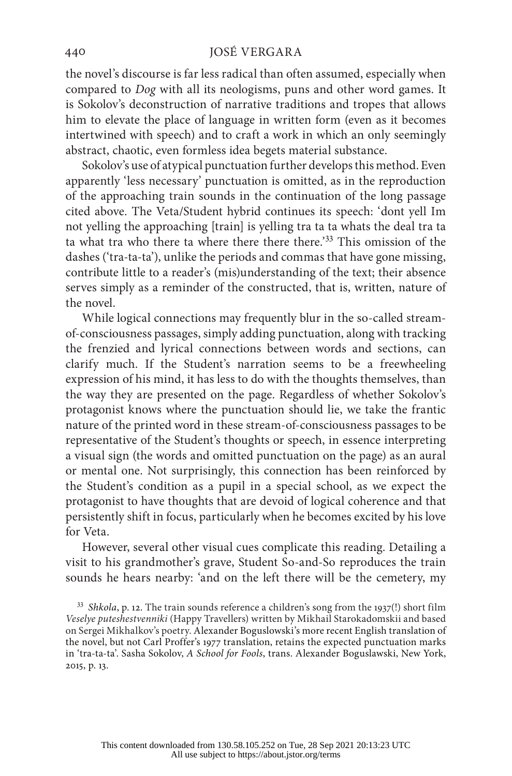the novel's discourse is far less radical than often assumed, especially when compared to *Dog* with all its neologisms, puns and other word games. It is Sokolov's deconstruction of narrative traditions and tropes that allows him to elevate the place of language in written form (even as it becomes intertwined with speech) and to craft a work in which an only seemingly abstract, chaotic, even formless idea begets material substance.

Sokolov's use of atypical punctuation further develops this method. Even apparently 'less necessary' punctuation is omitted, as in the reproduction of the approaching train sounds in the continuation of the long passage cited above. The Veta/Student hybrid continues its speech: 'dont yell Im not yelling the approaching [train] is yelling tra ta ta whats the deal tra ta ta what tra who there ta where there there there.'33 This omission of the dashes ('tra-ta-ta'), unlike the periods and commas that have gone missing, contribute little to a reader's (mis)understanding of the text; their absence serves simply as a reminder of the constructed, that is, written, nature of the novel.

While logical connections may frequently blur in the so-called streamof-consciousness passages, simply adding punctuation, along with tracking the frenzied and lyrical connections between words and sections, can clarify much. If the Student's narration seems to be a freewheeling expression of his mind, it has less to do with the thoughts themselves, than the way they are presented on the page. Regardless of whether Sokolov's protagonist knows where the punctuation should lie, we take the frantic nature of the printed word in these stream-of-consciousness passages to be representative of the Student's thoughts or speech, in essence interpreting a visual sign (the words and omitted punctuation on the page) as an aural or mental one. Not surprisingly, this connection has been reinforced by the Student's condition as a pupil in a special school, as we expect the protagonist to have thoughts that are devoid of logical coherence and that persistently shift in focus, particularly when he becomes excited by his love for Veta.

However, several other visual cues complicate this reading. Detailing a visit to his grandmother's grave, Student So-and-So reproduces the train sounds he hears nearby: 'and on the left there will be the cemetery, my

<sup>33</sup> *Shkola*, p. 12. The train sounds reference a children's song from the 1937(!) short film *Veselye puteshestvenniki* (Happy Travellers) written by Mikhail Starokadomskii and based on Sergei Mikhalkov's poetry. Alexander Boguslowski's more recent English translation of the novel, but not Carl Proffer's 1977 translation, retains the expected punctuation marks in 'tra-ta-ta'. Sasha Sokolov, *A School for Fools*, trans. Alexander Boguslawski, New York, 2015, p. 13.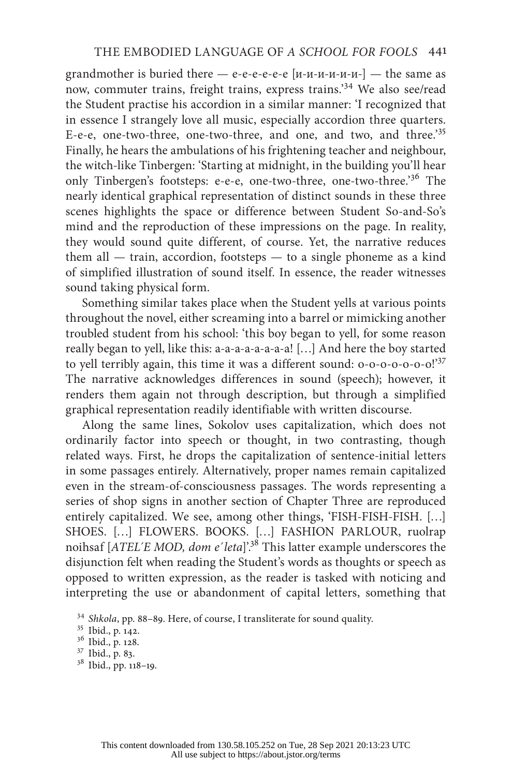grandmother is buried there  $-$  e-e-e-e-e-e [ $u$ - $u$ - $u$ - $u$ - $u$ - $u$ - $-$ the same as now, commuter trains, freight trains, express trains.'34 We also see/read the Student practise his accordion in a similar manner: 'I recognized that in essence I strangely love all music, especially accordion three quarters. E-e-e, one-two-three, one-two-three, and one, and two, and three.'<sup>35</sup> Finally, he hears the ambulations of his frightening teacher and neighbour, the witch-like Tinbergen: 'Starting at midnight, in the building you'll hear only Tinbergen's footsteps: e-e-e, one-two-three, one-two-three.'36 The nearly identical graphical representation of distinct sounds in these three scenes highlights the space or difference between Student So-and-So's mind and the reproduction of these impressions on the page. In reality, they would sound quite different, of course. Yet, the narrative reduces them all  $-$  train, accordion, footsteps  $-$  to a single phoneme as a kind of simplified illustration of sound itself. In essence, the reader witnesses sound taking physical form.

Something similar takes place when the Student yells at various points throughout the novel, either screaming into a barrel or mimicking another troubled student from his school: 'this boy began to yell, for some reason really began to yell, like this: a-a-a-a-a-a-a-a-a! [...] And here the boy started to yell terribly again, this time it was a different sound: 0-0-0-0-0-0!'37 The narrative acknowledges differences in sound (speech); however, it renders them again not through description, but through a simplified graphical representation readily identifiable with written discourse.

Along the same lines, Sokolov uses capitalization, which does not ordinarily factor into speech or thought, in two contrasting, though related ways. First, he drops the capitalization of sentence-initial letters in some passages entirely. Alternatively, proper names remain capitalized even in the stream-of-consciousness passages. The words representing a series of shop signs in another section of Chapter Three are reproduced entirely capitalized. We see, among other things, 'FISH-FISH-FISH. […] SHOES. […] FLOWERS. BOOKS. […] FASHION PARLOUR, ruolrap noihsaf [*ATEL´E MOD, dom e´leta*]'.38 This latter example underscores the disjunction felt when reading the Student's words as thoughts or speech as opposed to written expression, as the reader is tasked with noticing and interpreting the use or abandonment of capital letters, something that

<sup>34</sup> *Shkola*, pp. 88–89. Here, of course, I transliterate for sound quality. <sup>35</sup> Ibid., p. 142. <sup>36</sup> Ibid., p. 128. <sup>37</sup> Ibid., p. 83. <sup>38</sup> Ibid., pp. 118–19.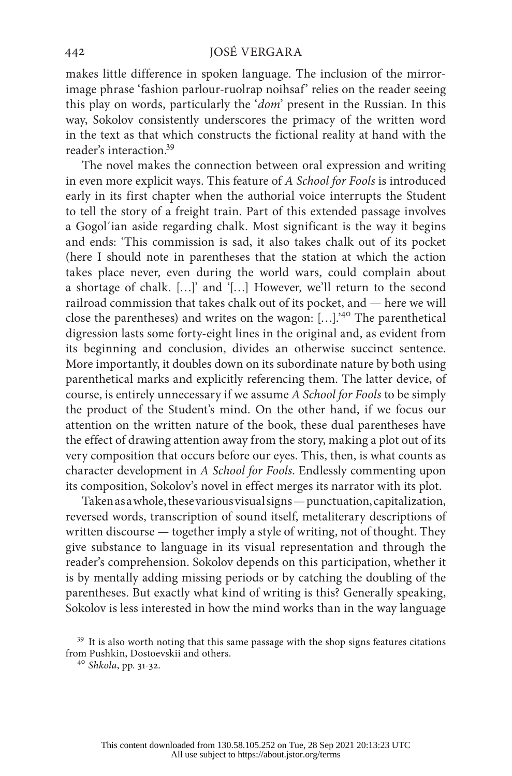makes little difference in spoken language. The inclusion of the mirrorimage phrase 'fashion parlour-ruolrap noihsaf' relies on the reader seeing this play on words, particularly the '*dom*' present in the Russian. In this way, Sokolov consistently underscores the primacy of the written word in the text as that which constructs the fictional reality at hand with the reader's interaction.39

The novel makes the connection between oral expression and writing in even more explicit ways. This feature of *A School for Fools* is introduced early in its first chapter when the authorial voice interrupts the Student to tell the story of a freight train. Part of this extended passage involves a Gogol´ian aside regarding chalk. Most significant is the way it begins and ends: 'This commission is sad, it also takes chalk out of its pocket (here I should note in parentheses that the station at which the action takes place never, even during the world wars, could complain about a shortage of chalk. […]' and '[…] However, we'll return to the second railroad commission that takes chalk out of its pocket, and — here we will close the parentheses) and writes on the wagon: […].'40 The parenthetical digression lasts some forty-eight lines in the original and, as evident from its beginning and conclusion, divides an otherwise succinct sentence. More importantly, it doubles down on its subordinate nature by both using parenthetical marks and explicitly referencing them. The latter device, of course, is entirely unnecessary if we assume *A School for Fools* to be simply the product of the Student's mind. On the other hand, if we focus our attention on the written nature of the book, these dual parentheses have the effect of drawing attention away from the story, making a plot out of its very composition that occurs before our eyes. This, then, is what counts as character development in *A School for Fools*. Endlessly commenting upon its composition, Sokolov's novel in effect merges its narrator with its plot.

Taken as a whole, these various visual signs — punctuation, capitalization, reversed words, transcription of sound itself, metaliterary descriptions of written discourse — together imply a style of writing, not of thought. They give substance to language in its visual representation and through the reader's comprehension. Sokolov depends on this participation, whether it is by mentally adding missing periods or by catching the doubling of the parentheses. But exactly what kind of writing is this? Generally speaking, Sokolov is less interested in how the mind works than in the way language

<sup>&</sup>lt;sup>39</sup> It is also worth noting that this same passage with the shop signs features citations from Pushkin, Dostoevskii and others. 40 *Shkola*, pp. 31-32.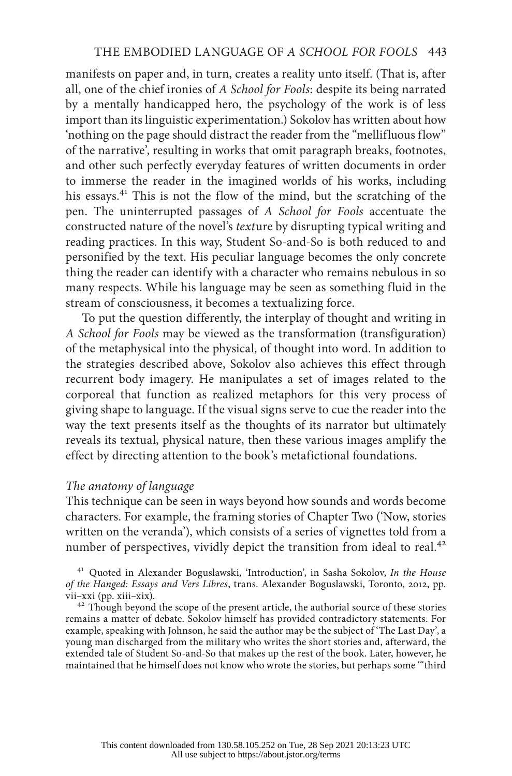manifests on paper and, in turn, creates a reality unto itself. (That is, after all, one of the chief ironies of *A School for Fools*: despite its being narrated by a mentally handicapped hero, the psychology of the work is of less import than its linguistic experimentation.) Sokolov has written about how 'nothing on the page should distract the reader from the "mellifluous flow" of the narrative', resulting in works that omit paragraph breaks, footnotes, and other such perfectly everyday features of written documents in order to immerse the reader in the imagined worlds of his works, including his essays.<sup>41</sup> This is not the flow of the mind, but the scratching of the pen. The uninterrupted passages of *A School for Fools* accentuate the constructed nature of the novel's *text*ure by disrupting typical writing and reading practices. In this way, Student So-and-So is both reduced to and personified by the text. His peculiar language becomes the only concrete thing the reader can identify with a character who remains nebulous in so many respects. While his language may be seen as something fluid in the stream of consciousness, it becomes a textualizing force.

To put the question differently, the interplay of thought and writing in *A School for Fools* may be viewed as the transformation (transfiguration) of the metaphysical into the physical, of thought into word. In addition to the strategies described above, Sokolov also achieves this effect through recurrent body imagery. He manipulates a set of images related to the corporeal that function as realized metaphors for this very process of giving shape to language. If the visual signs serve to cue the reader into the way the text presents itself as the thoughts of its narrator but ultimately reveals its textual, physical nature, then these various images amplify the effect by directing attention to the book's metafictional foundations.

## *The anatomy of language*

This technique can be seen in ways beyond how sounds and words become characters. For example, the framing stories of Chapter Two ('Now, stories written on the veranda'), which consists of a series of vignettes told from a number of perspectives, vividly depict the transition from ideal to real.<sup>42</sup>

<sup>41</sup> Quoted in Alexander Boguslawski, 'Introduction', in Sasha Sokolov, *In the House of the Hanged: Essays and Vers Libres*, trans. Alexander Boguslawski, Toronto, 2012, pp. vii–xxi (pp. xiii–xix). <sup>42</sup> Though beyond the scope of the present article, the authorial source of these stories

remains a matter of debate. Sokolov himself has provided contradictory statements. For example, speaking with Johnson, he said the author may be the subject of 'The Last Day', a young man discharged from the military who writes the short stories and, afterward, the extended tale of Student So-and-So that makes up the rest of the book. Later, however, he maintained that he himself does not know who wrote the stories, but perhaps some '"third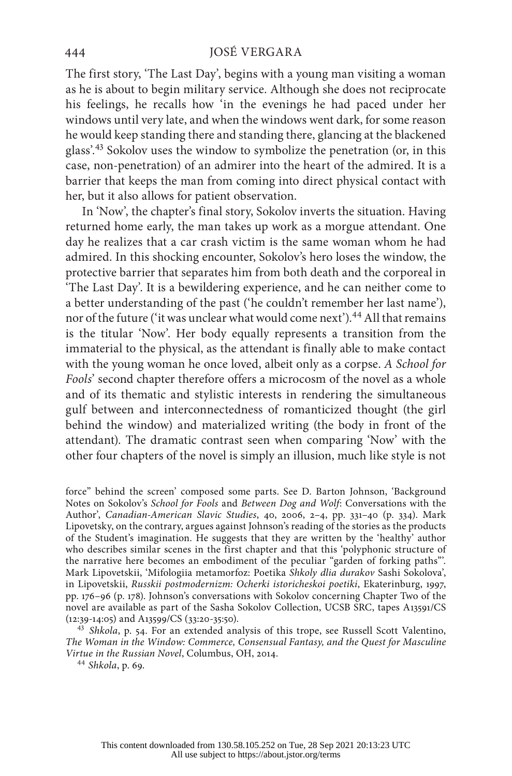The first story, 'The Last Day', begins with a young man visiting a woman as he is about to begin military service. Although she does not reciprocate his feelings, he recalls how 'in the evenings he had paced under her windows until very late, and when the windows went dark, for some reason he would keep standing there and standing there, glancing at the blackened glass'.43 Sokolov uses the window to symbolize the penetration (or, in this case, non-penetration) of an admirer into the heart of the admired. It is a barrier that keeps the man from coming into direct physical contact with her, but it also allows for patient observation.

In 'Now', the chapter's final story, Sokolov inverts the situation. Having returned home early, the man takes up work as a morgue attendant. One day he realizes that a car crash victim is the same woman whom he had admired. In this shocking encounter, Sokolov's hero loses the window, the protective barrier that separates him from both death and the corporeal in 'The Last Day'. It is a bewildering experience, and he can neither come to a better understanding of the past ('he couldn't remember her last name'), nor of the future ('it was unclear what would come next').<sup>44</sup> All that remains is the titular 'Now'. Her body equally represents a transition from the immaterial to the physical, as the attendant is finally able to make contact with the young woman he once loved, albeit only as a corpse. *A School for Fools*' second chapter therefore offers a microcosm of the novel as a whole and of its thematic and stylistic interests in rendering the simultaneous gulf between and interconnectedness of romanticized thought (the girl behind the window) and materialized writing (the body in front of the attendant). The dramatic contrast seen when comparing 'Now' with the other four chapters of the novel is simply an illusion, much like style is not

force" behind the screen' composed some parts. See D. Barton Johnson, 'Background Notes on Sokolov's *School for Fools* and *Between Dog and Wolf*: Conversations with the Author', *Canadian-American Slavic Studies*, 40, 2006, 2–4, pp. 331–40 (p. 334). Mark Lipovetsky, on the contrary, argues against Johnson's reading of the stories as the products of the Student's imagination. He suggests that they are written by the 'healthy' author who describes similar scenes in the first chapter and that this 'polyphonic structure of the narrative here becomes an embodiment of the peculiar "garden of forking paths"'. Mark Lipovetskii, 'Mifologiia metamorfoz: Poetika *Shkoly dlia durakov* Sashi Sokolova', in Lipovetskii, *Russkii postmodernizm: Ocherki istoricheskoi poetiki*, Ekaterinburg, 1997, pp. 176–96 (p. 178). Johnson's conversations with Sokolov concerning Chapter Two of the novel are available as part of the Sasha Sokolov Collection, UCSB SRC, tapes A13591/CS (12:39-14:05) and A13599/CS (33:20-35:50).

<sup>43</sup> Shkola, p. 54. For an extended analysis of this trope, see Russell Scott Valentino, *The Woman in the Window: Commerce, Consensual Fantasy, and the Quest for Masculine Virtue in the Russian Novel*, Columbus, OH, 2014. <sup>44</sup> *Shkola*, p. 69.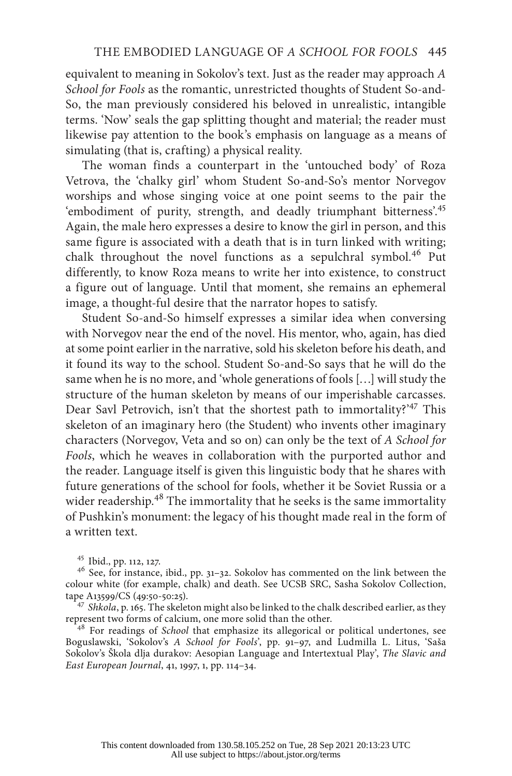equivalent to meaning in Sokolov's text. Just as the reader may approach *A School for Fools* as the romantic, unrestricted thoughts of Student So-and-So, the man previously considered his beloved in unrealistic, intangible terms. 'Now' seals the gap splitting thought and material; the reader must likewise pay attention to the book's emphasis on language as a means of simulating (that is, crafting) a physical reality.

The woman finds a counterpart in the 'untouched body' of Roza Vetrova, the 'chalky girl' whom Student So-and-So's mentor Norvegov worships and whose singing voice at one point seems to the pair the 'embodiment of purity, strength, and deadly triumphant bitterness'.<sup>45</sup> Again, the male hero expresses a desire to know the girl in person, and this same figure is associated with a death that is in turn linked with writing; chalk throughout the novel functions as a sepulchral symbol.<sup>46</sup> Put differently, to know Roza means to write her into existence, to construct a figure out of language. Until that moment, she remains an ephemeral image, a thought-ful desire that the narrator hopes to satisfy.

Student So-and-So himself expresses a similar idea when conversing with Norvegov near the end of the novel. His mentor, who, again, has died at some point earlier in the narrative, sold his skeleton before his death, and it found its way to the school. Student So-and-So says that he will do the same when he is no more, and 'whole generations of fools […] will study the structure of the human skeleton by means of our imperishable carcasses. Dear Savl Petrovich, isn't that the shortest path to immortality?<sup>47</sup> This skeleton of an imaginary hero (the Student) who invents other imaginary characters (Norvegov, Veta and so on) can only be the text of *A School for Fools*, which he weaves in collaboration with the purported author and the reader. Language itself is given this linguistic body that he shares with future generations of the school for fools, whether it be Soviet Russia or a wider readership.<sup>48</sup> The immortality that he seeks is the same immortality of Pushkin's monument: the legacy of his thought made real in the form of a written text.

<sup>&</sup>lt;sup>45</sup> Ibid., pp. 112, 127.  $4^6$  See, for instance, ibid., pp. 31–32. Sokolov has commented on the link between the colour white (for example, chalk) and death. See UCSB SRC, Sasha Sokolov Collection,

tape A13599/CS (49:50-50:25).<br><sup>47</sup> *Shkola*, p. 165. The skeleton might also be linked to the chalk described earlier, as they<br>represent two forms of calcium, one more solid than the other.

<sup>&</sup>lt;sup>48</sup> For readings of *School* that emphasize its allegorical or political undertones, see Boguslawski, 'Sokolov's *A School for Fools*', pp. 91–97, and Ludmilla L. Litus, 'Saša Sokolov's Škola dlja durakov: Aesopian Language and Intertextual Play', *The Slavic and East European Journal*, 41, 1997, 1, pp. 114–34.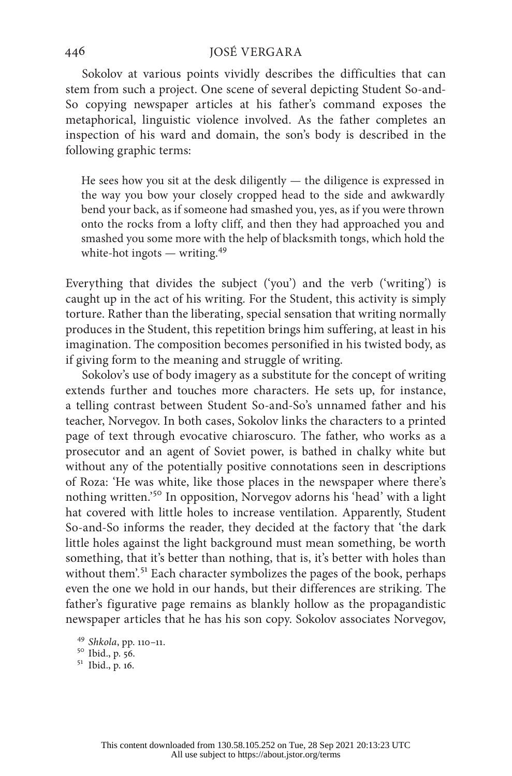Sokolov at various points vividly describes the difficulties that can stem from such a project. One scene of several depicting Student So-and-So copying newspaper articles at his father's command exposes the metaphorical, linguistic violence involved. As the father completes an inspection of his ward and domain, the son's body is described in the following graphic terms:

He sees how you sit at the desk diligently  $-$  the diligence is expressed in the way you bow your closely cropped head to the side and awkwardly bend your back, as if someone had smashed you, yes, as if you were thrown onto the rocks from a lofty cliff, and then they had approached you and smashed you some more with the help of blacksmith tongs, which hold the white-hot ingots — writing. $49$ 

Everything that divides the subject ('you') and the verb ('writing') is caught up in the act of his writing. For the Student, this activity is simply torture. Rather than the liberating, special sensation that writing normally produces in the Student, this repetition brings him suffering, at least in his imagination. The composition becomes personified in his twisted body, as if giving form to the meaning and struggle of writing.

Sokolov's use of body imagery as a substitute for the concept of writing extends further and touches more characters. He sets up, for instance, a telling contrast between Student So-and-So's unnamed father and his teacher, Norvegov. In both cases, Sokolov links the characters to a printed page of text through evocative chiaroscuro. The father, who works as a prosecutor and an agent of Soviet power, is bathed in chalky white but without any of the potentially positive connotations seen in descriptions of Roza: 'He was white, like those places in the newspaper where there's nothing written.'50 In opposition, Norvegov adorns his 'head' with a light hat covered with little holes to increase ventilation. Apparently, Student So-and-So informs the reader, they decided at the factory that 'the dark little holes against the light background must mean something, be worth something, that it's better than nothing, that is, it's better with holes than without them'.<sup>51</sup> Each character symbolizes the pages of the book, perhaps even the one we hold in our hands, but their differences are striking. The father's figurative page remains as blankly hollow as the propagandistic newspaper articles that he has his son copy. Sokolov associates Norvegov,

<sup>49</sup> *Shkola*, pp. 110–11. <sup>50</sup> Ibid., p. 56. <sup>51</sup> Ibid., p. 16.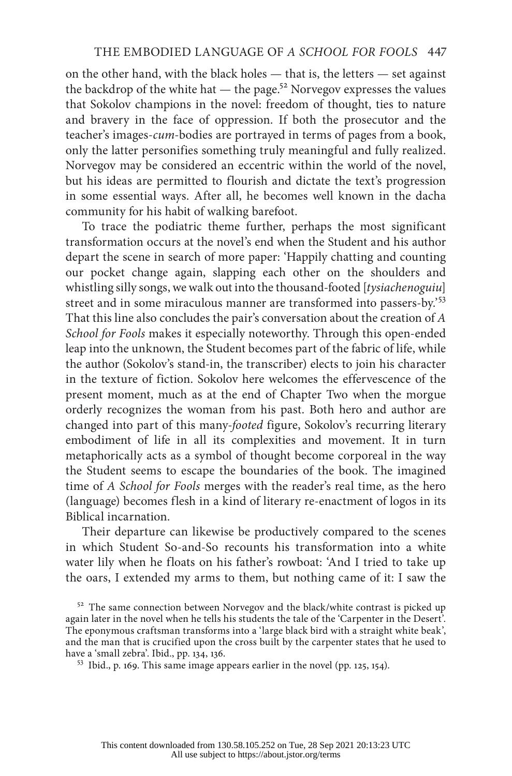on the other hand, with the black holes — that is, the letters — set against the backdrop of the white hat  $-$  the page.<sup>52</sup> Norvegov expresses the values that Sokolov champions in the novel: freedom of thought, ties to nature and bravery in the face of oppression. If both the prosecutor and the teacher's images-*cum*-bodies are portrayed in terms of pages from a book, only the latter personifies something truly meaningful and fully realized. Norvegov may be considered an eccentric within the world of the novel, but his ideas are permitted to flourish and dictate the text's progression in some essential ways. After all, he becomes well known in the dacha community for his habit of walking barefoot.

To trace the podiatric theme further, perhaps the most significant transformation occurs at the novel's end when the Student and his author depart the scene in search of more paper: 'Happily chatting and counting our pocket change again, slapping each other on the shoulders and whistling silly songs, we walk out into the thousand-footed [*tysiachenoguiu*] street and in some miraculous manner are transformed into passers-by.'<sup>53</sup> That this line also concludes the pair's conversation about the creation of *A School for Fools* makes it especially noteworthy. Through this open-ended leap into the unknown, the Student becomes part of the fabric of life, while the author (Sokolov's stand-in, the transcriber) elects to join his character in the texture of fiction. Sokolov here welcomes the effervescence of the present moment, much as at the end of Chapter Two when the morgue orderly recognizes the woman from his past. Both hero and author are changed into part of this many-*footed* figure, Sokolov's recurring literary embodiment of life in all its complexities and movement. It in turn metaphorically acts as a symbol of thought become corporeal in the way the Student seems to escape the boundaries of the book. The imagined time of *A School for Fools* merges with the reader's real time, as the hero (language) becomes flesh in a kind of literary re-enactment of logos in its Biblical incarnation.

Their departure can likewise be productively compared to the scenes in which Student So-and-So recounts his transformation into a white water lily when he floats on his father's rowboat: 'And I tried to take up the oars, I extended my arms to them, but nothing came of it: I saw the

<sup>&</sup>lt;sup>52</sup> The same connection between Norvegov and the black/white contrast is picked up again later in the novel when he tells his students the tale of the 'Carpenter in the Desert'. The eponymous craftsman transforms into a 'large black bird with a straight white beak', and the man that is crucified upon the cross built by the carpenter states that he used to have a 'small zebra'. Ibid., pp. 134, 136.

 $53$  Ibid., p. 169. This same image appears earlier in the novel (pp. 125, 154).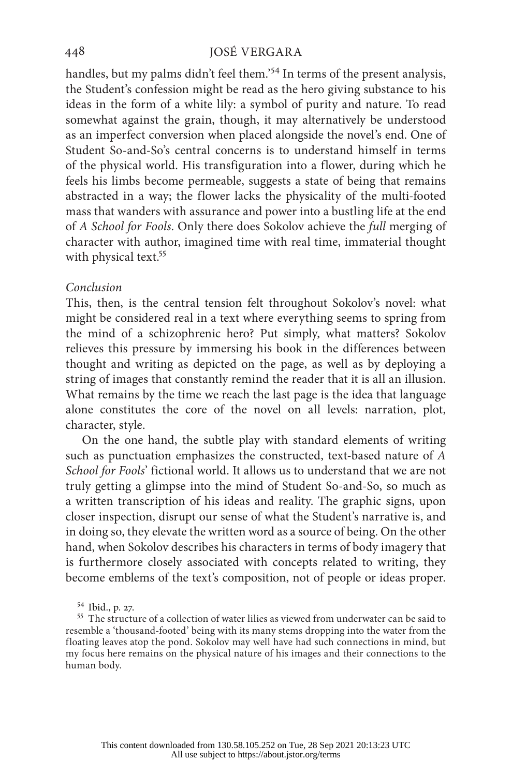handles, but my palms didn't feel them.<sup>'54</sup> In terms of the present analysis, the Student's confession might be read as the hero giving substance to his ideas in the form of a white lily: a symbol of purity and nature. To read somewhat against the grain, though, it may alternatively be understood as an imperfect conversion when placed alongside the novel's end. One of Student So-and-So's central concerns is to understand himself in terms of the physical world. His transfiguration into a flower, during which he feels his limbs become permeable, suggests a state of being that remains abstracted in a way; the flower lacks the physicality of the multi-footed mass that wanders with assurance and power into a bustling life at the end of *A School for Fools*. Only there does Sokolov achieve the *full* merging of character with author, imagined time with real time, immaterial thought with physical text.<sup>55</sup>

## *Conclusion*

This, then, is the central tension felt throughout Sokolov's novel: what might be considered real in a text where everything seems to spring from the mind of a schizophrenic hero? Put simply, what matters? Sokolov relieves this pressure by immersing his book in the differences between thought and writing as depicted on the page, as well as by deploying a string of images that constantly remind the reader that it is all an illusion. What remains by the time we reach the last page is the idea that language alone constitutes the core of the novel on all levels: narration, plot, character, style.

On the one hand, the subtle play with standard elements of writing such as punctuation emphasizes the constructed, text-based nature of *A School for Fools*' fictional world. It allows us to understand that we are not truly getting a glimpse into the mind of Student So-and-So, so much as a written transcription of his ideas and reality. The graphic signs, upon closer inspection, disrupt our sense of what the Student's narrative is, and in doing so, they elevate the written word as a source of being. On the other hand, when Sokolov describes his characters in terms of body imagery that is furthermore closely associated with concepts related to writing, they become emblems of the text's composition, not of people or ideas proper.

 $54$  Ibid., p. 27.<br> $55$  The structure of a collection of water lilies as viewed from underwater can be said to resemble a 'thousand-footed' being with its many stems dropping into the water from the floating leaves atop the pond. Sokolov may well have had such connections in mind, but my focus here remains on the physical nature of his images and their connections to the human body.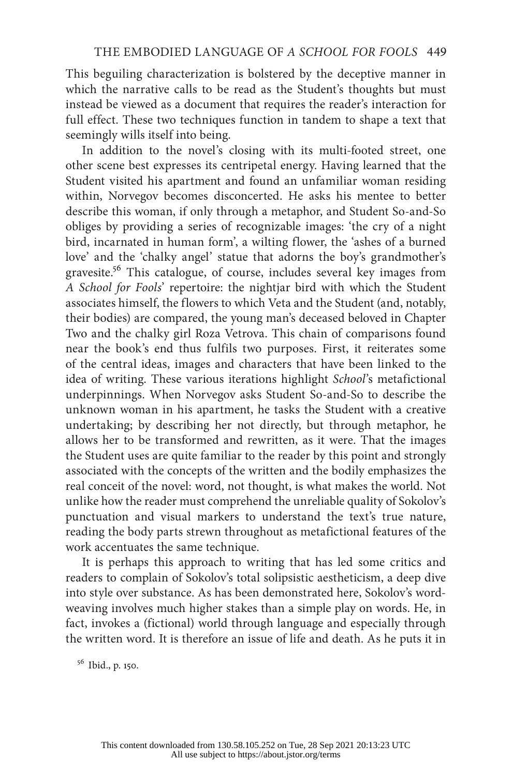This beguiling characterization is bolstered by the deceptive manner in which the narrative calls to be read as the Student's thoughts but must instead be viewed as a document that requires the reader's interaction for full effect. These two techniques function in tandem to shape a text that seemingly wills itself into being.

In addition to the novel's closing with its multi-footed street, one other scene best expresses its centripetal energy. Having learned that the Student visited his apartment and found an unfamiliar woman residing within, Norvegov becomes disconcerted. He asks his mentee to better describe this woman, if only through a metaphor, and Student So-and-So obliges by providing a series of recognizable images: 'the cry of a night bird, incarnated in human form', a wilting flower, the 'ashes of a burned love' and the 'chalky angel' statue that adorns the boy's grandmother's gravesite.56 This catalogue, of course, includes several key images from *A School for Fools*' repertoire: the nightjar bird with which the Student associates himself, the flowers to which Veta and the Student (and, notably, their bodies) are compared, the young man's deceased beloved in Chapter Two and the chalky girl Roza Vetrova. This chain of comparisons found near the book's end thus fulfils two purposes. First, it reiterates some of the central ideas, images and characters that have been linked to the idea of writing. These various iterations highlight *School*'s metafictional underpinnings. When Norvegov asks Student So-and-So to describe the unknown woman in his apartment, he tasks the Student with a creative undertaking; by describing her not directly, but through metaphor, he allows her to be transformed and rewritten, as it were. That the images the Student uses are quite familiar to the reader by this point and strongly associated with the concepts of the written and the bodily emphasizes the real conceit of the novel: word, not thought, is what makes the world. Not unlike how the reader must comprehend the unreliable quality of Sokolov's punctuation and visual markers to understand the text's true nature, reading the body parts strewn throughout as metafictional features of the work accentuates the same technique.

It is perhaps this approach to writing that has led some critics and readers to complain of Sokolov's total solipsistic aestheticism, a deep dive into style over substance. As has been demonstrated here, Sokolov's wordweaving involves much higher stakes than a simple play on words. He, in fact, invokes a (fictional) world through language and especially through the written word. It is therefore an issue of life and death. As he puts it in

<sup>56</sup> Ibid., p. 150.